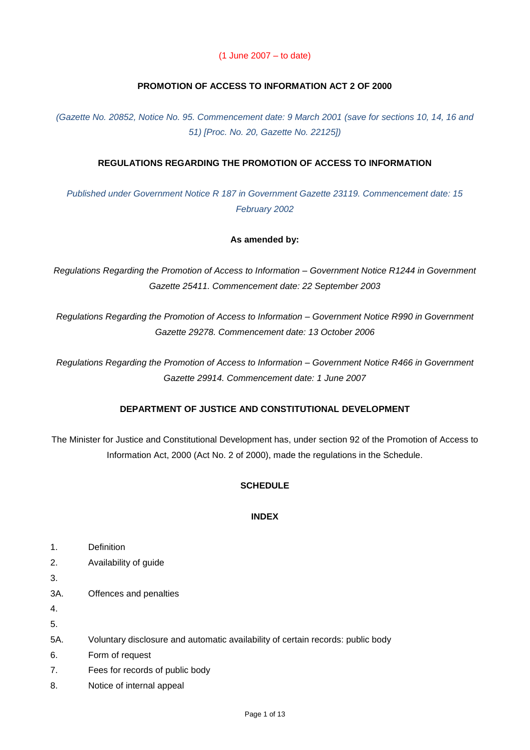### (1 June 2007 – to date)

## **PROMOTION OF ACCESS TO INFORMATION ACT 2 OF 2000**

*(Gazette No. 20852, Notice No. 95. Commencement date: 9 March 2001 (save for sections 10, 14, 16 and 51) [Proc. No. 20, Gazette No. 22125])*

## **REGULATIONS REGARDING THE PROMOTION OF ACCESS TO INFORMATION**

*Published under Government Notice R 187 in Government Gazette 23119. Commencement date: 15 February 2002*

### **As amended by:**

*Regulations Regarding the Promotion of Access to Information – Government Notice R1244 in Government Gazette 25411. Commencement date: 22 September 2003*

*Regulations Regarding the Promotion of Access to Information – Government Notice R990 in Government Gazette 29278. Commencement date: 13 October 2006*

*Regulations Regarding the Promotion of Access to Information – Government Notice R466 in Government Gazette 29914. Commencement date: 1 June 2007*

### **DEPARTMENT OF JUSTICE AND CONSTITUTIONAL DEVELOPMENT**

The Minister for Justice and Constitutional Development has, under section 92 of the Promotion of Access to Information Act, 2000 (Act No. 2 of 2000), made the regulations in the Schedule.

### **SCHEDULE**

### **INDEX**

- 1. Definition
- 2. Availability of guide

3.

3A. Offences and penalties

4.

- 5.
- 5A. Voluntary disclosure and automatic availability of certain records: public body
- 6. Form of request
- 7. Fees for records of public body
- 8. Notice of internal appeal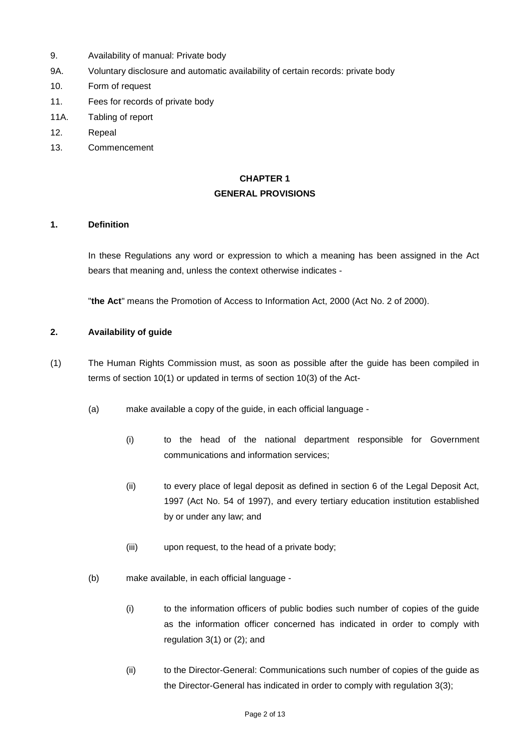- 9. Availability of manual: Private body
- 9A. Voluntary disclosure and automatic availability of certain records: private body
- 10. Form of request
- 11. Fees for records of private body
- 11A. Tabling of report
- 12. Repeal
- 13. Commencement

## **CHAPTER 1 GENERAL PROVISIONS**

#### **1. Definition**

In these Regulations any word or expression to which a meaning has been assigned in the Act bears that meaning and, unless the context otherwise indicates -

"**the Act**" means the Promotion of Access to Information Act, 2000 (Act No. 2 of 2000).

#### **2. Availability of guide**

- (1) The Human Rights Commission must, as soon as possible after the guide has been compiled in terms of section 10(1) or updated in terms of section 10(3) of the Act-
	- (a) make available a copy of the guide, in each official language
		- (i) to the head of the national department responsible for Government communications and information services;
		- (ii) to every place of legal deposit as defined in section 6 of the Legal Deposit Act, 1997 (Act No. 54 of 1997), and every tertiary education institution established by or under any law; and
		- (iii) upon request, to the head of a private body;
	- (b) make available, in each official language
		- (i) to the information officers of public bodies such number of copies of the guide as the information officer concerned has indicated in order to comply with regulation 3(1) or (2); and
		- (ii) to the Director-General: Communications such number of copies of the guide as the Director-General has indicated in order to comply with regulation 3(3);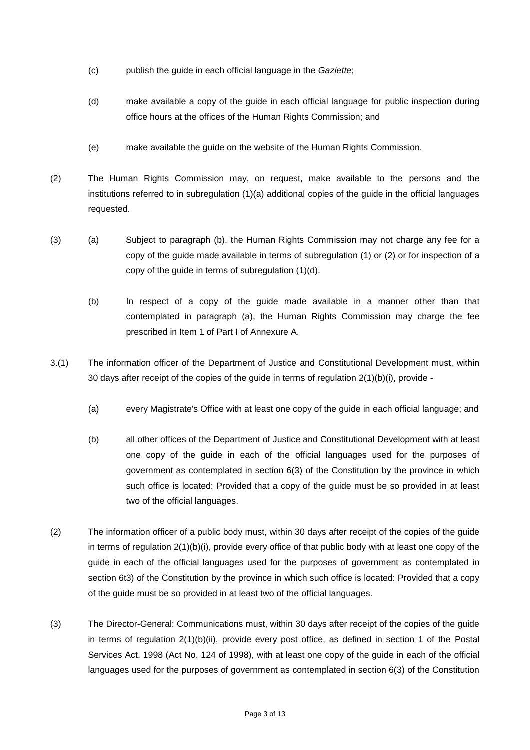- (c) publish the guide in each official language in the *Gaziette*;
- (d) make available a copy of the guide in each official language for public inspection during office hours at the offices of the Human Rights Commission; and
- (e) make available the guide on the website of the Human Rights Commission.
- (2) The Human Rights Commission may, on request, make available to the persons and the institutions referred to in subregulation (1)(a) additional copies of the guide in the official languages requested.
- (3) (a) Subject to paragraph (b), the Human Rights Commission may not charge any fee for a copy of the guide made available in terms of subregulation (1) or (2) or for inspection of a copy of the guide in terms of subregulation (1)(d).
	- (b) In respect of a copy of the guide made available in a manner other than that contemplated in paragraph (a), the Human Rights Commission may charge the fee prescribed in Item 1 of Part I of Annexure A.
- 3.(1) The information officer of the Department of Justice and Constitutional Development must, within 30 days after receipt of the copies of the guide in terms of regulation  $2(1)(b)(i)$ , provide -
	- (a) every Magistrate's Office with at least one copy of the guide in each official language; and
	- (b) all other offices of the Department of Justice and Constitutional Development with at least one copy of the guide in each of the official languages used for the purposes of government as contemplated in section 6(3) of the Constitution by the province in which such office is located: Provided that a copy of the guide must be so provided in at least two of the official languages.
- (2) The information officer of a public body must, within 30 days after receipt of the copies of the guide in terms of regulation 2(1)(b)(i), provide every office of that public body with at least one copy of the guide in each of the official languages used for the purposes of government as contemplated in section 6t3) of the Constitution by the province in which such office is located: Provided that a copy of the guide must be so provided in at least two of the official languages.
- (3) The Director-General: Communications must, within 30 days after receipt of the copies of the guide in terms of regulation 2(1)(b)(ii), provide every post office, as defined in section 1 of the Postal Services Act, 1998 (Act No. 124 of 1998), with at least one copy of the guide in each of the official languages used for the purposes of government as contemplated in section 6(3) of the Constitution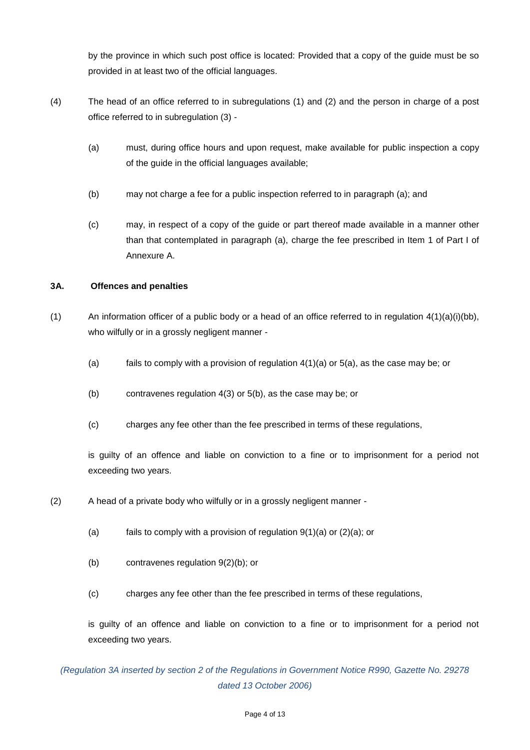by the province in which such post office is located: Provided that a copy of the guide must be so provided in at least two of the official languages.

- (4) The head of an office referred to in subregulations (1) and (2) and the person in charge of a post office referred to in subregulation (3) -
	- (a) must, during office hours and upon request, make available for public inspection a copy of the guide in the official languages available;
	- (b) may not charge a fee for a public inspection referred to in paragraph (a); and
	- (c) may, in respect of a copy of the guide or part thereof made available in a manner other than that contemplated in paragraph (a), charge the fee prescribed in Item 1 of Part I of Annexure A.

## **3A. Offences and penalties**

- (1) An information officer of a public body or a head of an office referred to in regulation  $4(1)(a)(i)(bb)$ , who wilfully or in a grossly negligent manner -
	- (a) fails to comply with a provision of regulation  $4(1)(a)$  or  $5(a)$ , as the case may be; or
	- (b) contravenes regulation 4(3) or 5(b), as the case may be; or
	- (c) charges any fee other than the fee prescribed in terms of these regulations,

is guilty of an offence and liable on conviction to a fine or to imprisonment for a period not exceeding two years.

- (2) A head of a private body who wilfully or in a grossly negligent manner
	- (a) fails to comply with a provision of regulation  $9(1)(a)$  or  $(2)(a)$ ; or
	- (b) contravenes regulation 9(2)(b); or
	- (c) charges any fee other than the fee prescribed in terms of these regulations,

is guilty of an offence and liable on conviction to a fine or to imprisonment for a period not exceeding two years.

*(Regulation 3A inserted by section 2 of the Regulations in Government Notice R990, Gazette No. 29278 dated 13 October 2006)*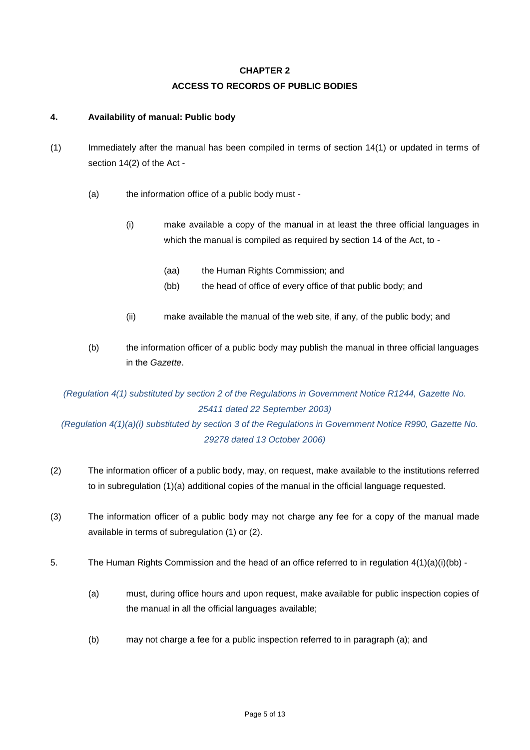# **CHAPTER 2 ACCESS TO RECORDS OF PUBLIC BODIES**

## **4. Availability of manual: Public body**

- (1) Immediately after the manual has been compiled in terms of section 14(1) or updated in terms of section 14(2) of the Act -
	- (a) the information office of a public body must
		- (i) make available a copy of the manual in at least the three official languages in which the manual is compiled as required by section 14 of the Act, to -
			- (aa) the Human Rights Commission; and
			- (bb) the head of office of every office of that public body; and
		- (ii) make available the manual of the web site, if any, of the public body; and
	- (b) the information officer of a public body may publish the manual in three official languages in the *Gazette*.

# *(Regulation 4(1) substituted by section 2 of the Regulations in Government Notice R1244, Gazette No. 25411 dated 22 September 2003) (Regulation 4(1)(a)(i) substituted by section 3 of the Regulations in Government Notice R990, Gazette No.*

*29278 dated 13 October 2006)*

- (2) The information officer of a public body, may, on request, make available to the institutions referred to in subregulation (1)(a) additional copies of the manual in the official language requested.
- (3) The information officer of a public body may not charge any fee for a copy of the manual made available in terms of subregulation (1) or (2).
- 5. The Human Rights Commission and the head of an office referred to in regulation 4(1)(a)(i)(bb)
	- (a) must, during office hours and upon request, make available for public inspection copies of the manual in all the official languages available;
	- (b) may not charge a fee for a public inspection referred to in paragraph (a); and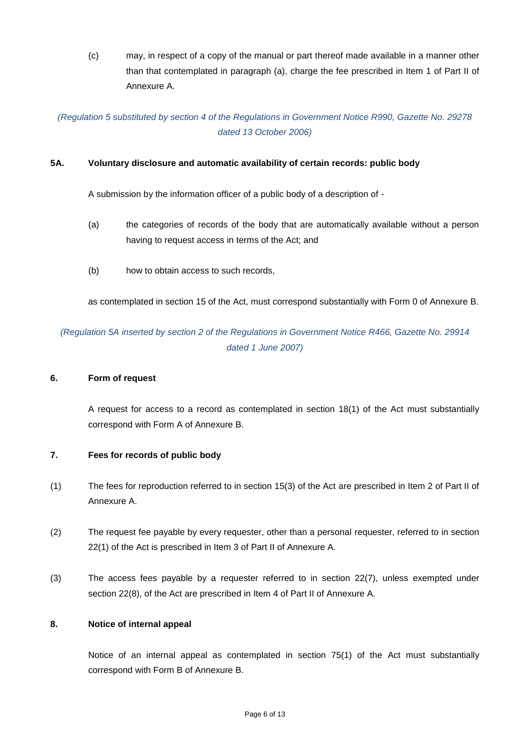(c) may, in respect of a copy of the manual or part thereof made available in a manner other than that contemplated in paragraph (a), charge the fee prescribed in Item 1 of Part II of Annexure A.

*(Regulation 5 substituted by section 4 of the Regulations in Government Notice R990, Gazette No. 29278 dated 13 October 2006)*

## **5A. Voluntary disclosure and automatic availability of certain records: public body**

A submission by the information officer of a public body of a description of -

- (a) the categories of records of the body that are automatically available without a person having to request access in terms of the Act; and
- (b) how to obtain access to such records,

as contemplated in section 15 of the Act, must correspond substantially with Form 0 of Annexure B.

*(Regulation 5A inserted by section 2 of the Regulations in Government Notice R466, Gazette No. 29914 dated 1 June 2007)*

### **6. Form of request**

A request for access to a record as contemplated in section 18(1) of the Act must substantially correspond with Form A of Annexure B.

### **7. Fees for records of public body**

- (1) The fees for reproduction referred to in section 15(3) of the Act are prescribed in Item 2 of Part II of Annexure A.
- (2) The request fee payable by every requester, other than a personal requester, referred to in section 22(1) of the Act is prescribed in Item 3 of Part II of Annexure A.
- (3) The access fees payable by a requester referred to in section 22(7), unless exempted under section 22(8), of the Act are prescribed in Item 4 of Part II of Annexure A.

### **8. Notice of internal appeal**

Notice of an internal appeal as contemplated in section 75(1) of the Act must substantially correspond with Form B of Annexure B.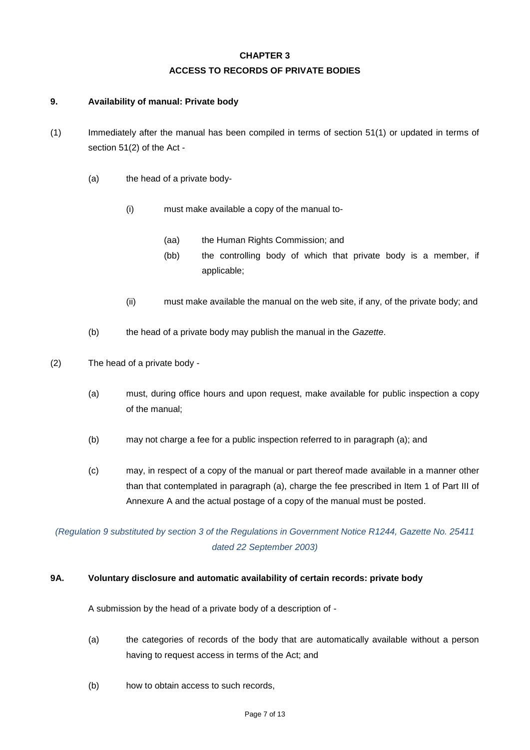# **CHAPTER 3 ACCESS TO RECORDS OF PRIVATE BODIES**

## **9. Availability of manual: Private body**

- (1) Immediately after the manual has been compiled in terms of section 51(1) or updated in terms of section 51(2) of the Act -
	- (a) the head of a private body-
		- (i) must make available a copy of the manual to-
			- (aa) the Human Rights Commission; and
			- (bb) the controlling body of which that private body is a member, if applicable;
		- (ii) must make available the manual on the web site, if any, of the private body; and
	- (b) the head of a private body may publish the manual in the *Gazette*.
- (2) The head of a private body
	- (a) must, during office hours and upon request, make available for public inspection a copy of the manual;
	- (b) may not charge a fee for a public inspection referred to in paragraph (a); and
	- (c) may, in respect of a copy of the manual or part thereof made available in a manner other than that contemplated in paragraph (a), charge the fee prescribed in Item 1 of Part III of Annexure A and the actual postage of a copy of the manual must be posted.

*(Regulation 9 substituted by section 3 of the Regulations in Government Notice R1244, Gazette No. 25411 dated 22 September 2003)*

### **9A. Voluntary disclosure and automatic availability of certain records: private body**

A submission by the head of a private body of a description of -

- (a) the categories of records of the body that are automatically available without a person having to request access in terms of the Act; and
- (b) how to obtain access to such records,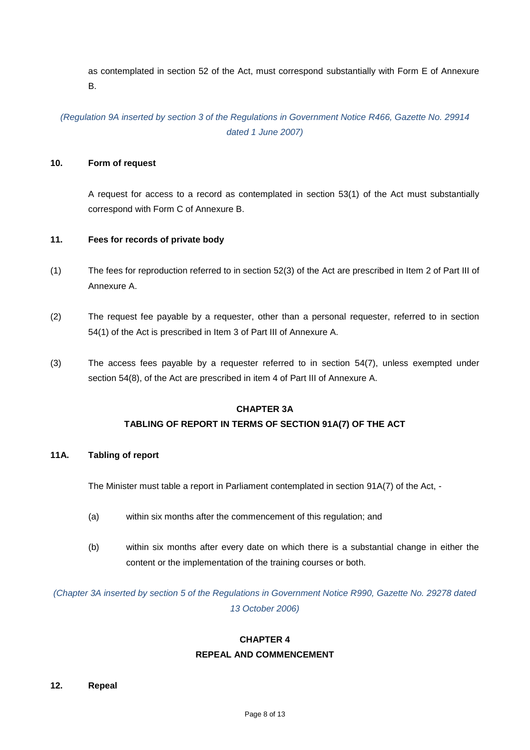as contemplated in section 52 of the Act, must correspond substantially with Form E of Annexure B.

*(Regulation 9A inserted by section 3 of the Regulations in Government Notice R466, Gazette No. 29914 dated 1 June 2007)*

## **10. Form of request**

A request for access to a record as contemplated in section 53(1) of the Act must substantially correspond with Form C of Annexure B.

#### **11. Fees for records of private body**

- (1) The fees for reproduction referred to in section 52(3) of the Act are prescribed in Item 2 of Part III of Annexure A.
- (2) The request fee payable by a requester, other than a personal requester, referred to in section 54(1) of the Act is prescribed in Item 3 of Part III of Annexure A.
- (3) The access fees payable by a requester referred to in section 54(7), unless exempted under section 54(8), of the Act are prescribed in item 4 of Part III of Annexure A.

## **CHAPTER 3A**

## **TABLING OF REPORT IN TERMS OF SECTION 91A(7) OF THE ACT**

#### **11A. Tabling of report**

The Minister must table a report in Parliament contemplated in section 91A(7) of the Act, -

- (a) within six months after the commencement of this regulation; and
- (b) within six months after every date on which there is a substantial change in either the content or the implementation of the training courses or both.

*(Chapter 3A inserted by section 5 of the Regulations in Government Notice R990, Gazette No. 29278 dated 13 October 2006)*

# **CHAPTER 4 REPEAL AND COMMENCEMENT**

#### **12. Repeal**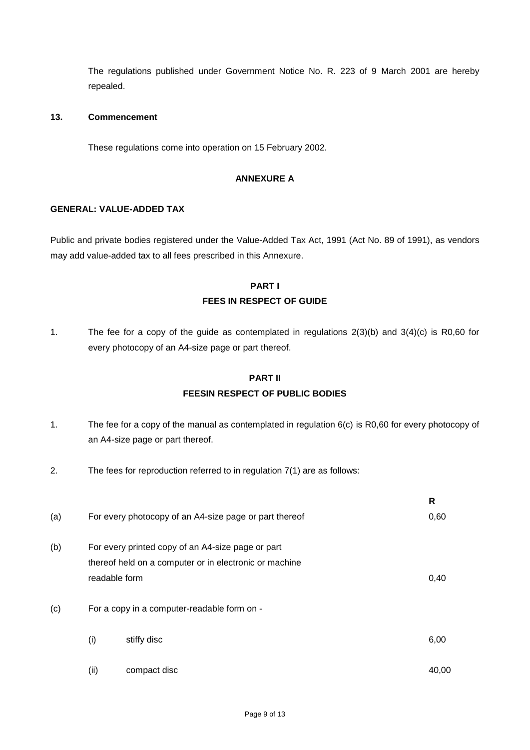The regulations published under Government Notice No. R. 223 of 9 March 2001 are hereby repealed.

## **13. Commencement**

These regulations come into operation on 15 February 2002.

#### **ANNEXURE A**

#### **GENERAL: VALUE-ADDED TAX**

Public and private bodies registered under the Value-Added Tax Act, 1991 (Act No. 89 of 1991), as vendors may add value-added tax to all fees prescribed in this Annexure.

## **PART I FEES IN RESPECT OF GUIDE**

1. The fee for a copy of the guide as contemplated in regulations 2(3)(b) and 3(4)(c) is R0,60 for every photocopy of an A4-size page or part thereof.

# **PART II FEESIN RESPECT OF PUBLIC BODIES**

- 1. The fee for a copy of the manual as contemplated in regulation 6(c) is R0,60 for every photocopy of an A4-size page or part thereof.
- 2. The fees for reproduction referred to in regulation 7(1) are as follows:

|     |      |                                                                                                             | R     |
|-----|------|-------------------------------------------------------------------------------------------------------------|-------|
| (a) |      | For every photocopy of an A4-size page or part thereof                                                      | 0,60  |
| (b) |      | For every printed copy of an A4-size page or part<br>thereof held on a computer or in electronic or machine |       |
|     |      | readable form                                                                                               | 0,40  |
| (c) |      | For a copy in a computer-readable form on -                                                                 |       |
|     | (i)  | stiffy disc                                                                                                 | 6,00  |
|     | (ii) | compact disc                                                                                                | 40,00 |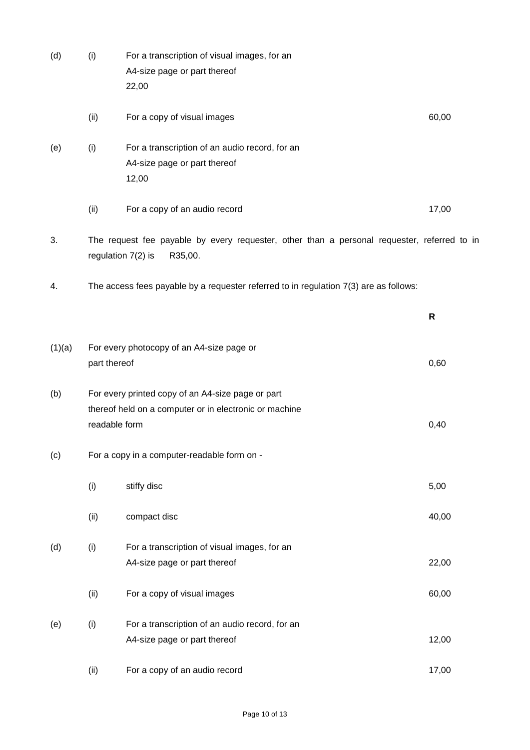| (d)    | (i)                                                                                                                            | For a transcription of visual images, for an<br>A4-size page or part thereof<br>22,00   |       |
|--------|--------------------------------------------------------------------------------------------------------------------------------|-----------------------------------------------------------------------------------------|-------|
|        | (ii)                                                                                                                           | For a copy of visual images                                                             | 60,00 |
| (e)    | (i)                                                                                                                            | For a transcription of an audio record, for an<br>A4-size page or part thereof<br>12,00 |       |
|        | (ii)                                                                                                                           | For a copy of an audio record                                                           | 17,00 |
| 3.     | The request fee payable by every requester, other than a personal requester, referred to in<br>regulation $7(2)$ is<br>R35,00. |                                                                                         |       |
| 4.     |                                                                                                                                | The access fees payable by a requester referred to in regulation 7(3) are as follows:   |       |
|        |                                                                                                                                |                                                                                         | R     |
| (1)(a) | For every photocopy of an A4-size page or<br>part thereof                                                                      |                                                                                         | 0,60  |
| (b)    | For every printed copy of an A4-size page or part<br>thereof held on a computer or in electronic or machine<br>readable form   |                                                                                         | 0,40  |
| (c)    | For a copy in a computer-readable form on -                                                                                    |                                                                                         |       |
|        | (i)                                                                                                                            | stiffy disc                                                                             | 5,00  |
|        | (ii)                                                                                                                           | compact disc                                                                            | 40,00 |
| (d)    | (i)                                                                                                                            | For a transcription of visual images, for an<br>A4-size page or part thereof            | 22,00 |
|        | (ii)                                                                                                                           | For a copy of visual images                                                             | 60,00 |
| (e)    | (i)                                                                                                                            | For a transcription of an audio record, for an<br>A4-size page or part thereof          | 12,00 |
|        | (ii)                                                                                                                           | For a copy of an audio record                                                           | 17,00 |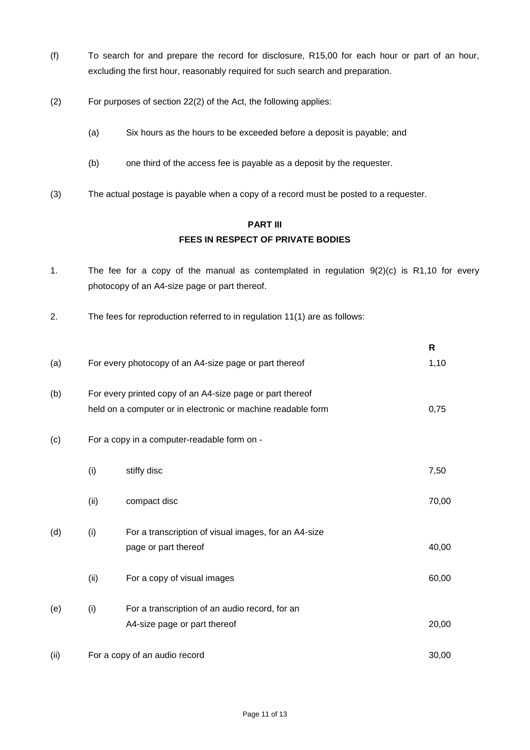- (f) To search for and prepare the record for disclosure, R15,00 for each hour or part of an hour, excluding the first hour, reasonably required for such search and preparation.
- (2) For purposes of section 22(2) of the Act, the following applies:
	- (a) Six hours as the hours to be exceeded before a deposit is payable; and
	- (b) one third of the access fee is payable as a deposit by the requester.
- (3) The actual postage is payable when a copy of a record must be posted to a requester.

## **PART III FEES IN RESPECT OF PRIVATE BODIES**

- 1. The fee for a copy of the manual as contemplated in regulation 9(2)(c) is R1,10 for every photocopy of an A4-size page or part thereof.
- 2. The fees for reproduction referred to in regulation 11(1) are as follows:

|      |                                             |                                                              | R     |
|------|---------------------------------------------|--------------------------------------------------------------|-------|
| (a)  |                                             | For every photocopy of an A4-size page or part thereof       | 1,10  |
| (b)  |                                             | For every printed copy of an A4-size page or part thereof    |       |
|      |                                             | held on a computer or in electronic or machine readable form | 0,75  |
| (c)  | For a copy in a computer-readable form on - |                                                              |       |
|      | (i)                                         | stiffy disc                                                  | 7,50  |
|      | (ii)                                        | compact disc                                                 | 70,00 |
| (d)  | (i)                                         | For a transcription of visual images, for an A4-size         |       |
|      |                                             | page or part thereof                                         | 40,00 |
|      | (ii)                                        | For a copy of visual images                                  | 60,00 |
| (e)  | (i)                                         | For a transcription of an audio record, for an               |       |
|      |                                             | A4-size page or part thereof                                 | 20,00 |
| (ii) | For a copy of an audio record               |                                                              | 30,00 |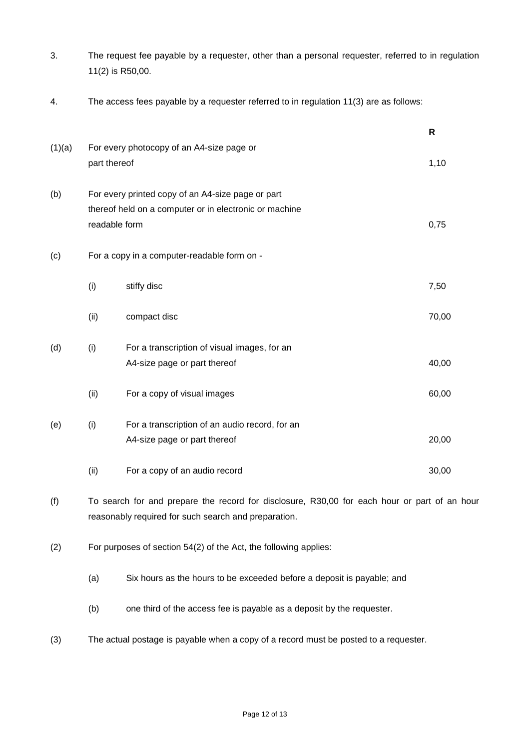3. The request fee payable by a requester, other than a personal requester, referred to in regulation 11(2) is R50,00.

**R**

4. The access fees payable by a requester referred to in regulation 11(3) are as follows:

|        |                                                                                                                              |                                                                                                                                                      | R     |
|--------|------------------------------------------------------------------------------------------------------------------------------|------------------------------------------------------------------------------------------------------------------------------------------------------|-------|
| (1)(a) | part thereof                                                                                                                 | For every photocopy of an A4-size page or                                                                                                            | 1,10  |
| (b)    | For every printed copy of an A4-size page or part<br>thereof held on a computer or in electronic or machine<br>readable form |                                                                                                                                                      |       |
| (c)    | For a copy in a computer-readable form on -                                                                                  |                                                                                                                                                      |       |
|        | (i)                                                                                                                          | stiffy disc                                                                                                                                          | 7,50  |
|        | (ii)                                                                                                                         | compact disc                                                                                                                                         | 70,00 |
| (d)    | (i)                                                                                                                          | For a transcription of visual images, for an<br>A4-size page or part thereof                                                                         | 40,00 |
|        | (ii)                                                                                                                         | For a copy of visual images                                                                                                                          | 60,00 |
| (e)    | (i)                                                                                                                          | For a transcription of an audio record, for an<br>A4-size page or part thereof                                                                       | 20,00 |
|        | (ii)                                                                                                                         | For a copy of an audio record                                                                                                                        | 30,00 |
| (f)    |                                                                                                                              | To search for and prepare the record for disclosure, R30,00 for each hour or part of an hour<br>reasonably required for such search and preparation. |       |

- (2) For purposes of section 54(2) of the Act, the following applies:
	- (a) Six hours as the hours to be exceeded before a deposit is payable; and
	- (b) one third of the access fee is payable as a deposit by the requester.
- (3) The actual postage is payable when a copy of a record must be posted to a requester.